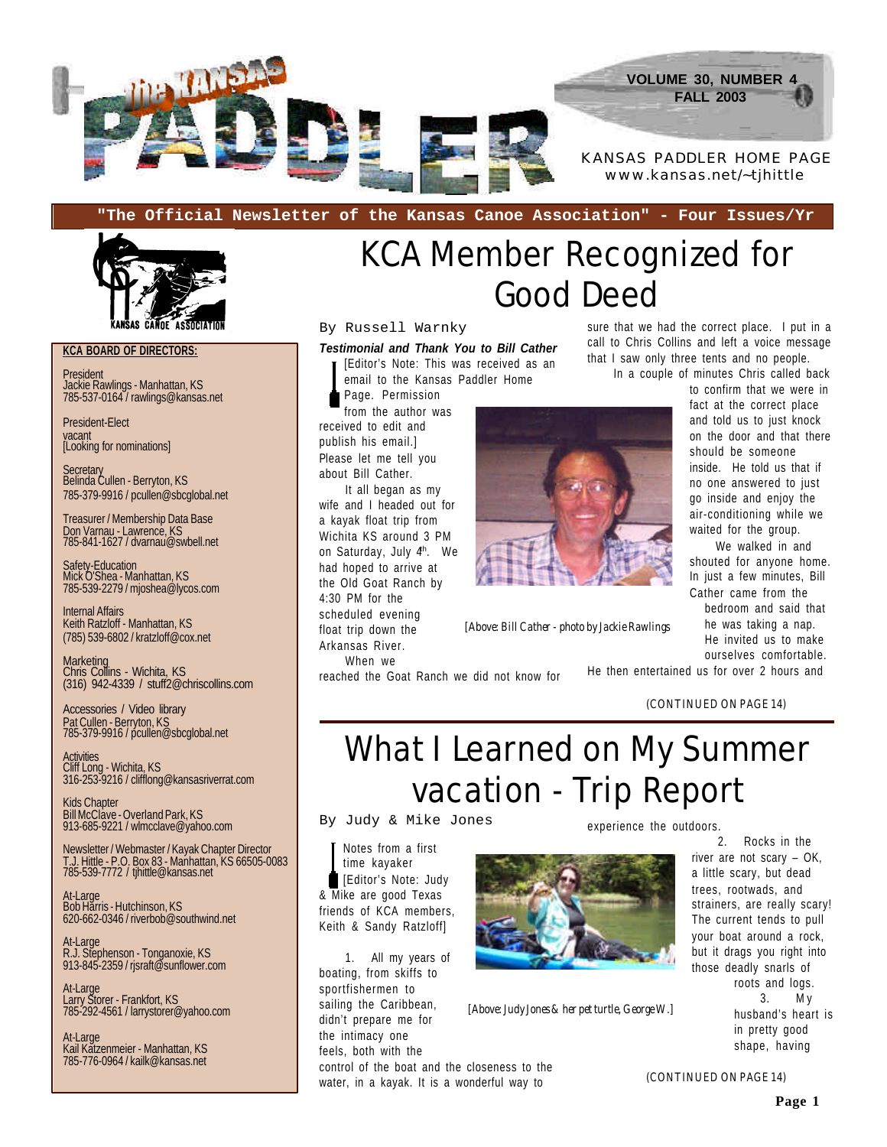

**"The Official Newsletter of the Kansas Canoe Association" - Four Issues/Yr**



#### **KCA BOARD OF DIRECTORS:**

President Jackie Rawlings - Manhattan, KS 785-537-0164 / rawlings@kansas.net

President-Elect vacant [Looking for nominations]

Secretary Belinda Cullen - Berryton, KS 785-379-9916 / pcullen@sbcglobal.net

Treasurer / Membership Data Base Don Varnau - Lawrence, KS 785-841-1627 / dvarnau@swbell.net

Safety-Education Mick O'Shea - Manhattan, KS 785-539-2279 / mjoshea@lycos.com

Internal Affairs Keith Ratzloff - Manhattan, KS (785) 539-6802 / kratzloff@cox.net

Marketing Chris Collins - Wichita, KS (316) 942-4339 / stuff2@chriscollins.com

Accessories / Video library Pat Cullen - Berryton, KS 785-379-9916 / pcullen@sbcglobal.net

Activities Cliff Long - Wichita, KS 316-253-9216 / clifflong@kansasriverrat.com

Kids Chapter Bill McClave - Overland Park, KS 913-685-9221 / wlmcclave@yahoo.com

Newsletter / Webmaster / Kayak Chapter Director T.J. Hittle - P.O. Box 83 - Manhattan, KS 66505-0083 785-539-7772 / tjhittle@kansas.net

At-Large Bob Harris - Hutchinson, KS 620-662-0346 / riverbob@southwind.net

At-Large R.J. Stephenson - Tonganoxie, KS 913-845-2359 / rjsraft@sunflower.com

At-Large Larry Storer - Frankfort, KS 785-292-4561 / larrystorer@yahoo.com

At-Large Kail Katzenmeier - Manhattan, KS 785-776-0964 / kailk@kansas.net

# KCA Member Recognized for Good Deed

#### By Russell Warnky

*Testimonial and Thank You to Bill Cather* [Editor's Note: This was received as an

email to the Kansas Paddler Home

Page. Permission from the author was

received to edit and publish his email.] Please let me tell you about Bill Cather.

It all began as my wife and I headed out for a kayak float trip from Wichita KS around 3 PM on Saturday, July 4<sup>th</sup>. We had hoped to arrive at the Old Goat Ranch by 4:30 PM for the scheduled evening float trip down the Arkansas River. When we



*[Above: Bill Cather - photo by Jackie Rawlings*

ourselves comfortable. He then entertained us for over 2 hours and

sure that we had the correct place. I put in a call to Chris Collins and left a voice message that I saw only three tents and no people. In a couple of minutes Chris called back

> to confirm that we were in fact at the correct place and told us to just knock on the door and that there should be someone inside. He told us that if no one answered to just go inside and enjoy the air-conditioning while we waited for the group. We walked in and shouted for anyone home. In just a few minutes, Bill Cather came from the bedroom and said that he was taking a nap. He invited us to make

*(CONTINUED ON PAGE 14)*

### What I Learned on My Summer vacation - Trip Report

By Judy & Mike Jones

reached the Goat Ranch we did not know for

Notes from a first time kayaker [Editor's Note: Judy & Mike are good Texas friends of KCA members, Keith & Sandy Ratzloff]

1. All my years of boating, from skiffs to sportfishermen to sailing the Caribbean, didn't prepare me for the intimacy one feels, both with the control of the boat and the closeness to the water, in a kayak. It is a wonderful way to



*[Above: Judy Jones & her pet turtle, George W.]*

experience the outdoors.

2. Rocks in the river are not scary – OK, a little scary, but dead trees, rootwads, and strainers, are really scary! The current tends to pull your boat around a rock, but it drags you right into those deadly snarls of roots and logs. 3. M y husband's heart is in pretty good shape, having

*(CONTINUED ON PAGE 14)*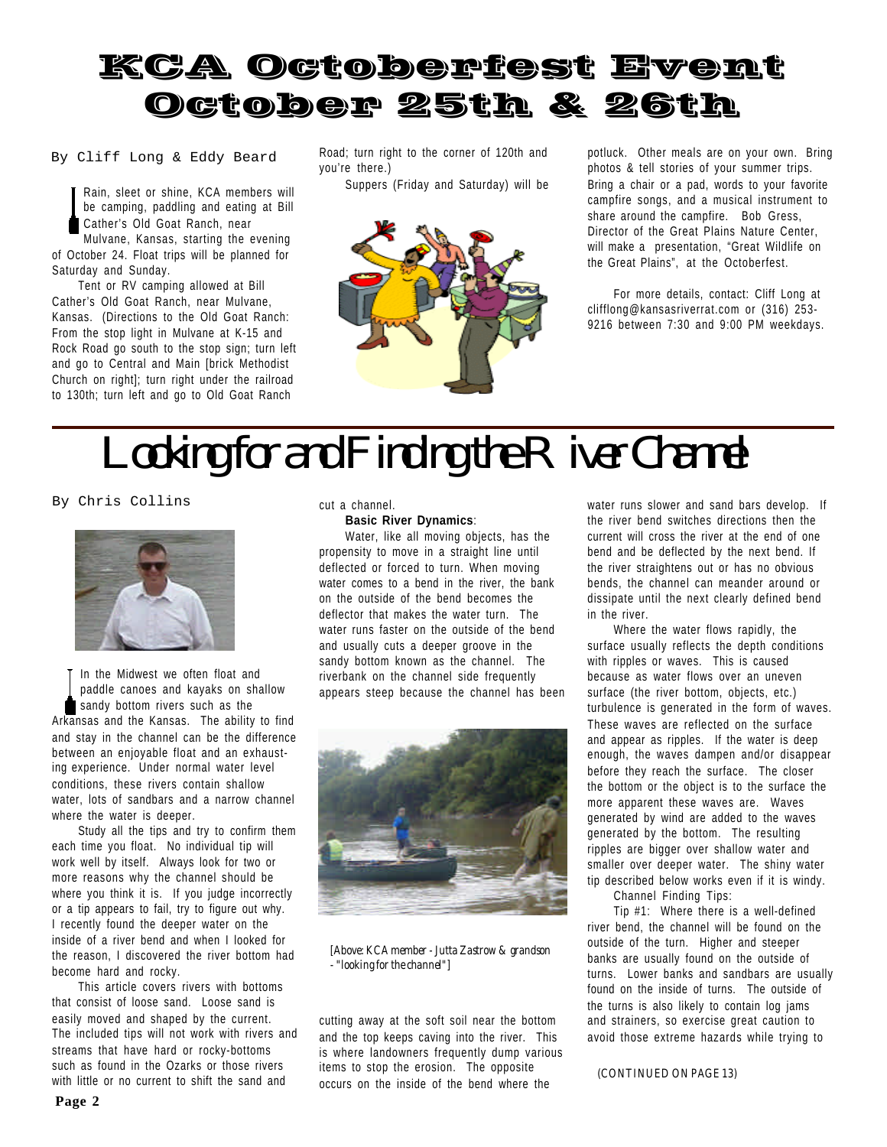

By Cliff Long & Eddy Beard

Rain, sleet or shine, KCA members will be camping, paddling and eating at Bill Cather's Old Goat Ranch, near

Mulvane, Kansas, starting the evening of October 24. Float trips will be planned for Saturday and Sunday.

Tent or RV camping allowed at Bill Cather's Old Goat Ranch, near Mulvane, Kansas. (Directions to the Old Goat Ranch: From the stop light in Mulvane at K-15 and Rock Road go south to the stop sign; turn left and go to Central and Main [brick Methodist Church on right]; turn right under the railroad to 130th; turn left and go to Old Goat Ranch

Road; turn right to the corner of 120th and you're there.)

Suppers (Friday and Saturday) will be



potluck. Other meals are on your own. Bring photos & tell stories of your summer trips. Bring a chair or a pad, words to your favorite campfire songs, and a musical instrument to share around the campfire. Bob Gress, Director of the Great Plains Nature Center, will make a presentation, "Great Wildlife on the Great Plains", at the Octoberfest.

For more details, contact: Cliff Long at clifflong@kansasriverrat.com or (316) 253- 9216 between 7:30 and 9:00 PM weekdays.

# *Looking for and Finding the River Channel*

By Chris Collins



In the Midwest we often float and paddle canoes and kayaks on shallow sandy bottom rivers such as the Arkansas and the Kansas. The ability to find and stay in the channel can be the difference between an enjoyable float and an exhausting experience. Under normal water level conditions, these rivers contain shallow water, lots of sandbars and a narrow channel where the water is deeper.

Study all the tips and try to confirm them each time you float. No individual tip will work well by itself. Always look for two or more reasons why the channel should be where you think it is. If you judge incorrectly or a tip appears to fail, try to figure out why. I recently found the deeper water on the inside of a river bend and when I looked for the reason, I discovered the river bottom had become hard and rocky.

This article covers rivers with bottoms that consist of loose sand. Loose sand is easily moved and shaped by the current. The included tips will not work with rivers and streams that have hard or rocky-bottoms such as found in the Ozarks or those rivers with little or no current to shift the sand and

cut a channel.

#### **Basic River Dynamics**:

Water, like all moving objects, has the propensity to move in a straight line until deflected or forced to turn. When moving water comes to a bend in the river, the bank on the outside of the bend becomes the deflector that makes the water turn. The water runs faster on the outside of the bend and usually cuts a deeper groove in the sandy bottom known as the channel. The riverbank on the channel side frequently appears steep because the channel has been



*[Above: KCA member - Jutta Zastrow & grandson - "looking for the channel"]*

cutting away at the soft soil near the bottom and the top keeps caving into the river. This is where landowners frequently dump various items to stop the erosion. The opposite occurs on the inside of the bend where the

water runs slower and sand bars develop. If the river bend switches directions then the current will cross the river at the end of one bend and be deflected by the next bend. If the river straightens out or has no obvious bends, the channel can meander around or dissipate until the next clearly defined bend in the river.

Where the water flows rapidly, the surface usually reflects the depth conditions with ripples or waves. This is caused because as water flows over an uneven surface (the river bottom, objects, etc.) turbulence is generated in the form of waves. These waves are reflected on the surface and appear as ripples. If the water is deep enough, the waves dampen and/or disappear before they reach the surface. The closer the bottom or the object is to the surface the more apparent these waves are. Waves generated by wind are added to the waves generated by the bottom. The resulting ripples are bigger over shallow water and smaller over deeper water. The shiny water tip described below works even if it is windy.

Channel Finding Tips:

Tip #1: Where there is a well-defined river bend, the channel will be found on the outside of the turn. Higher and steeper banks are usually found on the outside of turns. Lower banks and sandbars are usually found on the inside of turns. The outside of the turns is also likely to contain log jams and strainers, so exercise great caution to avoid those extreme hazards while trying to

#### *(CONTINUED ON PAGE 13)*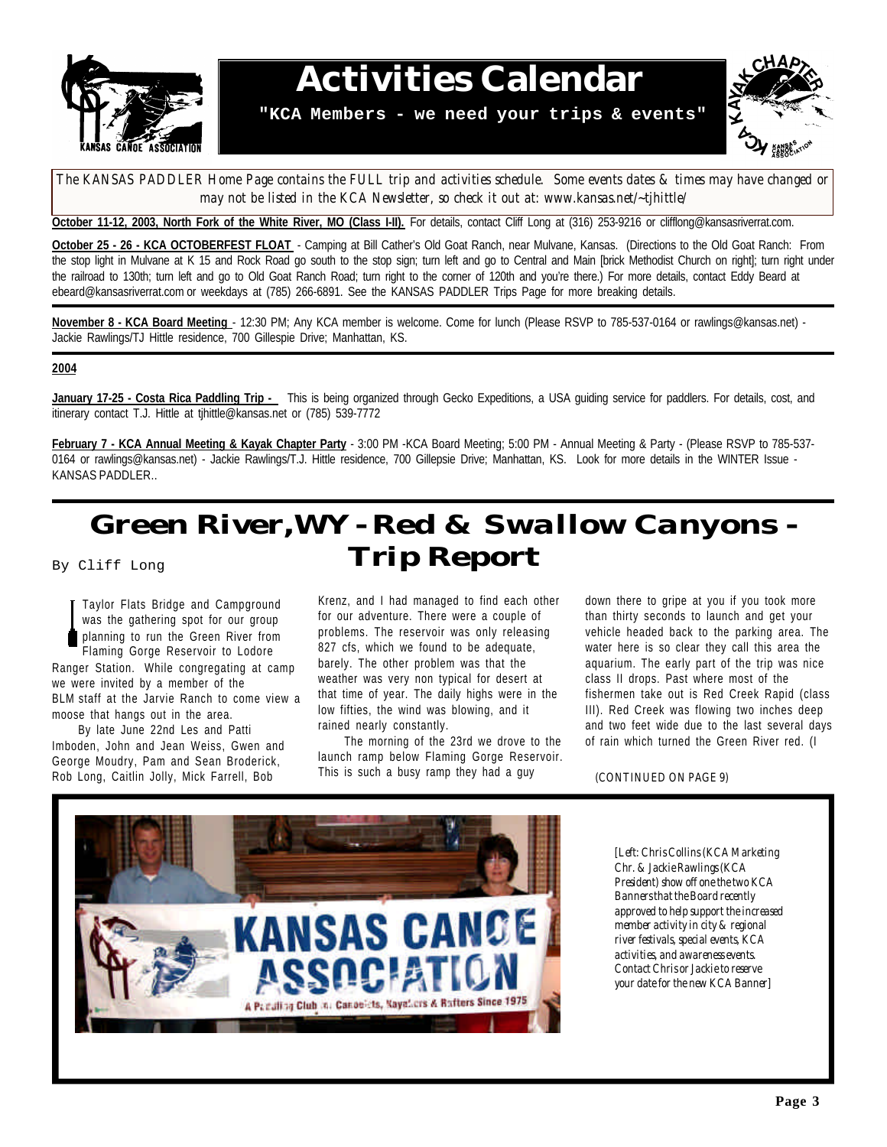

### **Activities Calendar**

**"KCA Members - we need your trips & events"**



*The KANSAS PADDLER Home Page contains the FULL trip and activities schedule. Some events dates & times may have changed or* may not be listed in the KCA Newsletter, so check it out at: www.kansas.net/~tjhittle/

**October 11-12, 2003, North Fork of the White River, MO (Class I-II).** For details, contact Cliff Long at (316) 253-9216 or clifflong@kansasriverrat.com.

**October 25 - 26 - KCA OCTOBERFEST FLOAT** - Camping at Bill Cather's Old Goat Ranch, near Mulvane, Kansas. (Directions to the Old Goat Ranch: From the stop light in Mulvane at K 15 and Rock Road go south to the stop sign; turn left and go to Central and Main [brick Methodist Church on right]; turn right under the railroad to 130th; turn left and go to Old Goat Ranch Road; turn right to the corner of 120th and you're there.) For more details, contact Eddy Beard at ebeard@kansasriverrat.com or weekdays at (785) 266-6891. See the KANSAS PADDLER Trips Page for more breaking details.

**November 8 - KCA Board Meeting** - 12:30 PM; Any KCA member is welcome. Come for lunch (Please RSVP to 785-537-0164 or rawlings@kansas.net) - Jackie Rawlings/TJ Hittle residence, 700 Gillespie Drive; Manhattan, KS.

#### **2004**

**January 17-25 - Costa Rica Paddling Trip -** This is being organized through Gecko Expeditions, a USA guiding service for paddlers. For details, cost, and itinerary contact T.J. Hittle at tjhittle@kansas.net or (785) 539-7772

**February 7 - KCA Annual Meeting & Kayak Chapter Party** - 3:00 PM -KCA Board Meeting; 5:00 PM - Annual Meeting & Party - (Please RSVP to 785-537- 0164 or rawlings@kansas.net) - Jackie Rawlings/T.J. Hittle residence, 700 Gillepsie Drive; Manhattan, KS. Look for more details in the WINTER Issue -KANSAS PADDLER..

### *Green River,WY - Red & Swallow Canyons - Trip Report*

By Cliff Long

Taylor Flats Bridge and Campground was the gathering spot for our group planning to run the Green River from Flaming Gorge Reservoir to Lodore Ranger Station. While congregating at camp we were invited by a member of the BLM staff at the Jarvie Ranch to come view a moose that hangs out in the area.

By late June 22nd Les and Patti Imboden, John and Jean Weiss, Gwen and George Moudry, Pam and Sean Broderick, Rob Long, Caitlin Jolly, Mick Farrell, Bob

Krenz, and I had managed to find each other for our adventure. There were a couple of problems. The reservoir was only releasing 827 cfs, which we found to be adequate, barely. The other problem was that the weather was very non typical for desert at that time of year. The daily highs were in the low fifties, the wind was blowing, and it rained nearly constantly.

The morning of the 23rd we drove to the launch ramp below Flaming Gorge Reservoir. This is such a busy ramp they had a guy

down there to gripe at you if you took more than thirty seconds to launch and get your vehicle headed back to the parking area. The water here is so clear they call this area the aquarium. The early part of the trip was nice class II drops. Past where most of the fishermen take out is Red Creek Rapid (class III). Red Creek was flowing two inches deep and two feet wide due to the last several days of rain which turned the Green River red. (I



#### *(CONTINUED ON PAGE 9)*

*[Left: Chris Collins (KCA Marketing Chr. & Jackie Rawlings (KCA President) show off one the two KCA Banners that the Board recently approved to help support the increased member activity in city & regional river festivals, special events, KCA activities, and awareness events. Contact Chris or Jackie to reserve your date for the new KCA Banner]*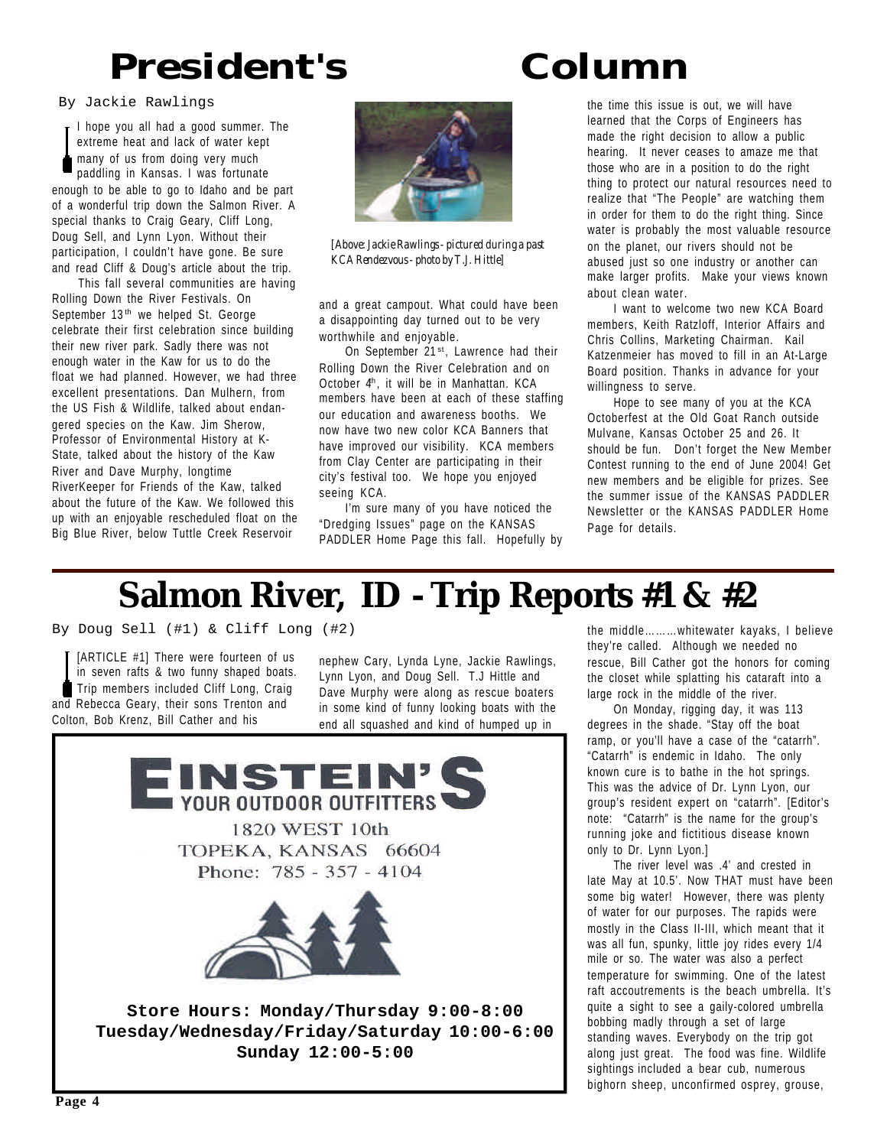# **President's Column**

By Jackie Rawlings

I hope you all had a good summer. The extreme heat and lack of water kept many of us from doing very much paddling in Kansas. I was fortunate enough to be able to go to Idaho and be part of a wonderful trip down the Salmon River. A special thanks to Craig Geary, Cliff Long, Doug Sell, and Lynn Lyon. Without their participation, I couldn't have gone. Be sure and read Cliff & Doug's article about the trip.

This fall several communities are having Rolling Down the River Festivals. On September 13<sup>th</sup> we helped St. George celebrate their first celebration since building their new river park. Sadly there was not enough water in the Kaw for us to do the float we had planned. However, we had three excellent presentations. Dan Mulhern, from the US Fish & Wildlife, talked about endangered species on the Kaw. Jim Sherow, Professor of Environmental History at K-State, talked about the history of the Kaw River and Dave Murphy, longtime RiverKeeper for Friends of the Kaw, talked about the future of the Kaw. We followed this up with an enjoyable rescheduled float on the Big Blue River, below Tuttle Creek Reservoir



*[Above: Jackie Rawlings - pictured during a past KCA Rendezvous - photo by T.J. Hittle]*

and a great campout. What could have been a disappointing day turned out to be very worthwhile and enjoyable.

On September 21<sup>st</sup>, Lawrence had their Rolling Down the River Celebration and on October 4<sup>h</sup>, it will be in Manhattan. KCA members have been at each of these staffing our education and awareness booths. We now have two new color KCA Banners that have improved our visibility. KCA members from Clay Center are participating in their city's festival too. We hope you enjoyed seeing KCA.

I'm sure many of you have noticed the "Dredging Issues" page on the KANSAS PADDLER Home Page this fall. Hopefully by the time this issue is out, we will have learned that the Corps of Engineers has made the right decision to allow a public hearing. It never ceases to amaze me that those who are in a position to do the right thing to protect our natural resources need to realize that "The People" are watching them in order for them to do the right thing. Since water is probably the most valuable resource on the planet, our rivers should not be abused just so one industry or another can make larger profits. Make your views known about clean water.

I want to welcome two new KCA Board members, Keith Ratzloff, Interior Affairs and Chris Collins, Marketing Chairman. Kail Katzenmeier has moved to fill in an At-Large Board position. Thanks in advance for your willingness to serve.

Hope to see many of you at the KCA Octoberfest at the Old Goat Ranch outside Mulvane, Kansas October 25 and 26. It should be fun. Don't forget the New Member Contest running to the end of June 2004! Get new members and be eligible for prizes. See the summer issue of the KANSAS PADDLER Newsletter or the KANSAS PADDLER Home Page for details.

### **Salmon River, ID - Trip Reports #1 & #2**

By Doug Sell (#1) & Cliff Long (#2)

[ARTICLE #1] There were fourteen of us in seven rafts & two funny shaped boats. Trip members included Cliff Long, Craig and Rebecca Geary, their sons Trenton and Colton, Bob Krenz, Bill Cather and his

nephew Cary, Lynda Lyne, Jackie Rawlings, Lynn Lyon, and Doug Sell. T.J Hittle and Dave Murphy were along as rescue boaters in some kind of funny looking boats with the end all squashed and kind of humped up in



the middle………whitewater kayaks, I believe they're called. Although we needed no rescue, Bill Cather got the honors for coming the closet while splatting his cataraft into a large rock in the middle of the river.

On Monday, rigging day, it was 113 degrees in the shade. "Stay off the boat ramp, or you'll have a case of the "catarrh". "Catarrh" is endemic in Idaho. The only known cure is to bathe in the hot springs. This was the advice of Dr. Lynn Lyon, our group's resident expert on "catarrh". [Editor's note: "Catarrh" is the name for the group's running joke and fictitious disease known only to Dr. Lynn Lyon.]

The river level was .4' and crested in late May at 10.5'. Now THAT must have been some big water! However, there was plenty of water for our purposes. The rapids were mostly in the Class II-III, which meant that it was all fun, spunky, little joy rides every 1/4 mile or so. The water was also a perfect temperature for swimming. One of the latest raft accoutrements is the beach umbrella. It's quite a sight to see a gaily-colored umbrella bobbing madly through a set of large standing waves. Everybody on the trip got along just great. The food was fine. Wildlife sightings included a bear cub, numerous bighorn sheep, unconfirmed osprey, grouse,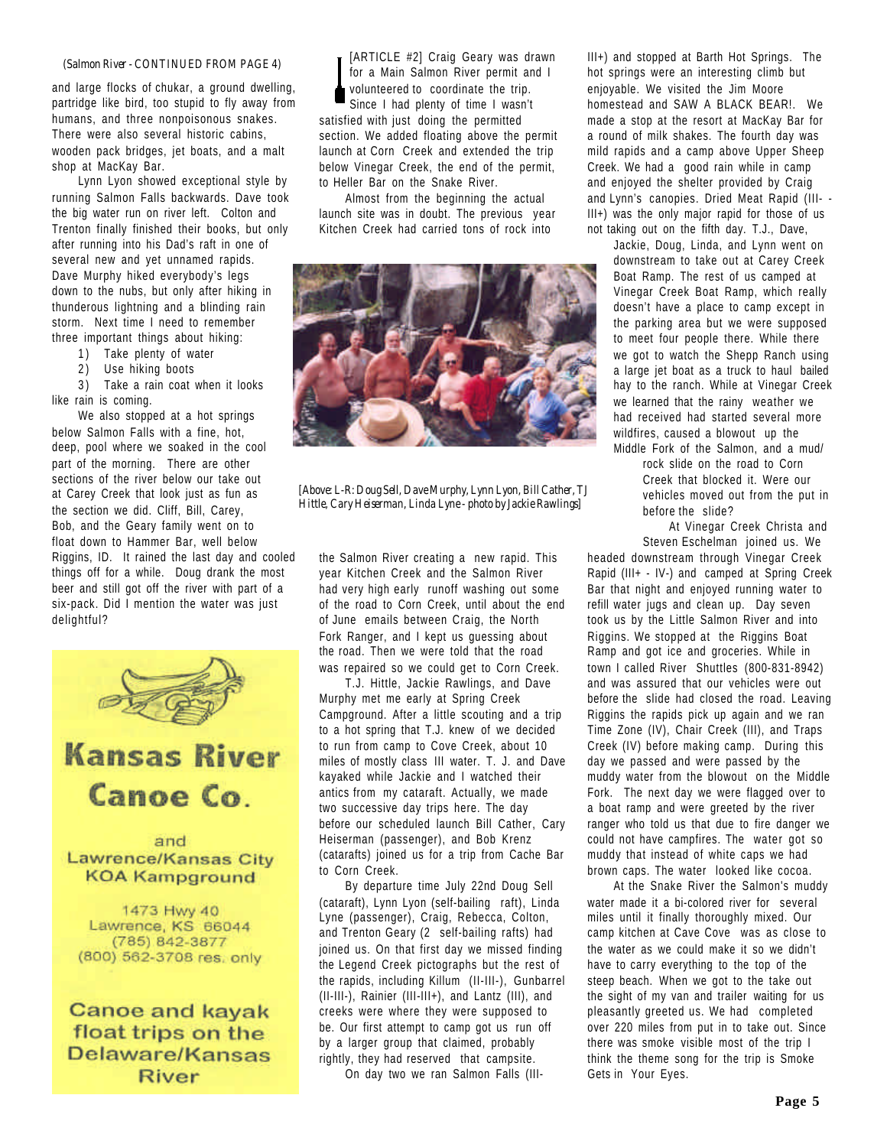#### *(Salmon River - CONTINUED FROM PAGE 4)*

and large flocks of chukar, a ground dwelling, partridge like bird, too stupid to fly away from humans, and three nonpoisonous snakes. There were also several historic cabins, wooden pack bridges, jet boats, and a malt shop at MacKay Bar.

Lynn Lyon showed exceptional style by running Salmon Falls backwards. Dave took the big water run on river left. Colton and Trenton finally finished their books, but only after running into his Dad's raft in one of several new and yet unnamed rapids. Dave Murphy hiked everybody's legs down to the nubs, but only after hiking in thunderous lightning and a blinding rain storm. Next time I need to remember three important things about hiking:

- 1) Take plenty of water
- 2) Use hiking boots

3) Take a rain coat when it looks like rain is coming.

We also stopped at a hot springs below Salmon Falls with a fine, hot, deep, pool where we soaked in the cool part of the morning. There are other sections of the river below our take out at Carey Creek that look just as fun as the section we did. Cliff, Bill, Carey, Bob, and the Geary family went on to float down to Hammer Bar, well below Riggins, ID. It rained the last day and cooled things off for a while. Doug drank the most beer and still got off the river with part of a six-pack. Did I mention the water was just delightful?



Lawrence/Kansas City **KOA Kampground** 

1473 Hwy 40 Lawrence, KS 66044 (785) 842-3877 (800) 562-3708 res. only

**Canoe and kayak** float trips on the Delaware/Kansas **River** 

[ARTICLE #2] Craig Geary was drawn for a Main Salmon River permit and I volunteered to coordinate the trip. Since I had plenty of time I wasn't satisfied with just doing the permitted section. We added floating above the permit launch at Corn Creek and extended the trip below Vinegar Creek, the end of the permit, to Heller Bar on the Snake River.

Almost from the beginning the actual launch site was in doubt. The previous year Kitchen Creek had carried tons of rock into



*[Above: L-R: Doug Sell, Dave Murphy, Lynn Lyon, Bill Cather, TJ Hittle, Cary Heiserman, Linda Lyne - photo by Jackie Rawlings]*

the Salmon River creating a new rapid. This year Kitchen Creek and the Salmon River had very high early runoff washing out some of the road to Corn Creek, until about the end of June emails between Craig, the North Fork Ranger, and I kept us guessing about the road. Then we were told that the road was repaired so we could get to Corn Creek.

T.J. Hittle, Jackie Rawlings, and Dave Murphy met me early at Spring Creek Campground. After a little scouting and a trip to a hot spring that T.J. knew of we decided to run from camp to Cove Creek, about 10 miles of mostly class III water. T. J. and Dave kayaked while Jackie and I watched their antics from my cataraft. Actually, we made two successive day trips here. The day before our scheduled launch Bill Cather, Cary Heiserman (passenger), and Bob Krenz (catarafts) joined us for a trip from Cache Bar to Corn Creek.

By departure time July 22nd Doug Sell (cataraft), Lynn Lyon (self-bailing raft), Linda Lyne (passenger), Craig, Rebecca, Colton, and Trenton Geary (2 self-bailing rafts) had joined us. On that first day we missed finding the Legend Creek pictographs but the rest of the rapids, including Killum (II-III-), Gunbarrel (II-III-), Rainier (III-III+), and Lantz (III), and creeks were where they were supposed to be. Our first attempt to camp got us run off by a larger group that claimed, probably rightly, they had reserved that campsite.

On day two we ran Salmon Falls (III-

III+) and stopped at Barth Hot Springs. The hot springs were an interesting climb but enjoyable. We visited the Jim Moore homestead and SAW A BLACK BEAR!. We made a stop at the resort at MacKay Bar for a round of milk shakes. The fourth day was mild rapids and a camp above Upper Sheep Creek. We had a good rain while in camp and enjoyed the shelter provided by Craig and Lynn's canopies. Dried Meat Rapid (III- - III+) was the only major rapid for those of us not taking out on the fifth day. T.J., Dave,

Jackie, Doug, Linda, and Lynn went on downstream to take out at Carey Creek Boat Ramp. The rest of us camped at Vinegar Creek Boat Ramp, which really doesn't have a place to camp except in the parking area but we were supposed to meet four people there. While there we got to watch the Shepp Ranch using a large jet boat as a truck to haul bailed hay to the ranch. While at Vinegar Creek we learned that the rainy weather we had received had started several more wildfires, caused a blowout up the Middle Fork of the Salmon, and a mud/

> rock slide on the road to Corn Creek that blocked it. Were our vehicles moved out from the put in before the slide?

> At Vinegar Creek Christa and Steven Eschelman joined us. We

headed downstream through Vinegar Creek Rapid (III+ - IV-) and camped at Spring Creek Bar that night and enjoyed running water to refill water jugs and clean up. Day seven took us by the Little Salmon River and into Riggins. We stopped at the Riggins Boat Ramp and got ice and groceries. While in town I called River Shuttles (800-831-8942) and was assured that our vehicles were out before the slide had closed the road. Leaving Riggins the rapids pick up again and we ran Time Zone (IV), Chair Creek (III), and Traps Creek (IV) before making camp. During this day we passed and were passed by the muddy water from the blowout on the Middle Fork. The next day we were flagged over to a boat ramp and were greeted by the river ranger who told us that due to fire danger we could not have campfires. The water got so muddy that instead of white caps we had brown caps. The water looked like cocoa.

At the Snake River the Salmon's muddy water made it a bi-colored river for several miles until it finally thoroughly mixed. Our camp kitchen at Cave Cove was as close to the water as we could make it so we didn't have to carry everything to the top of the steep beach. When we got to the take out the sight of my van and trailer waiting for us pleasantly greeted us. We had completed over 220 miles from put in to take out. Since there was smoke visible most of the trip I think the theme song for the trip is Smoke Gets in Your Eyes.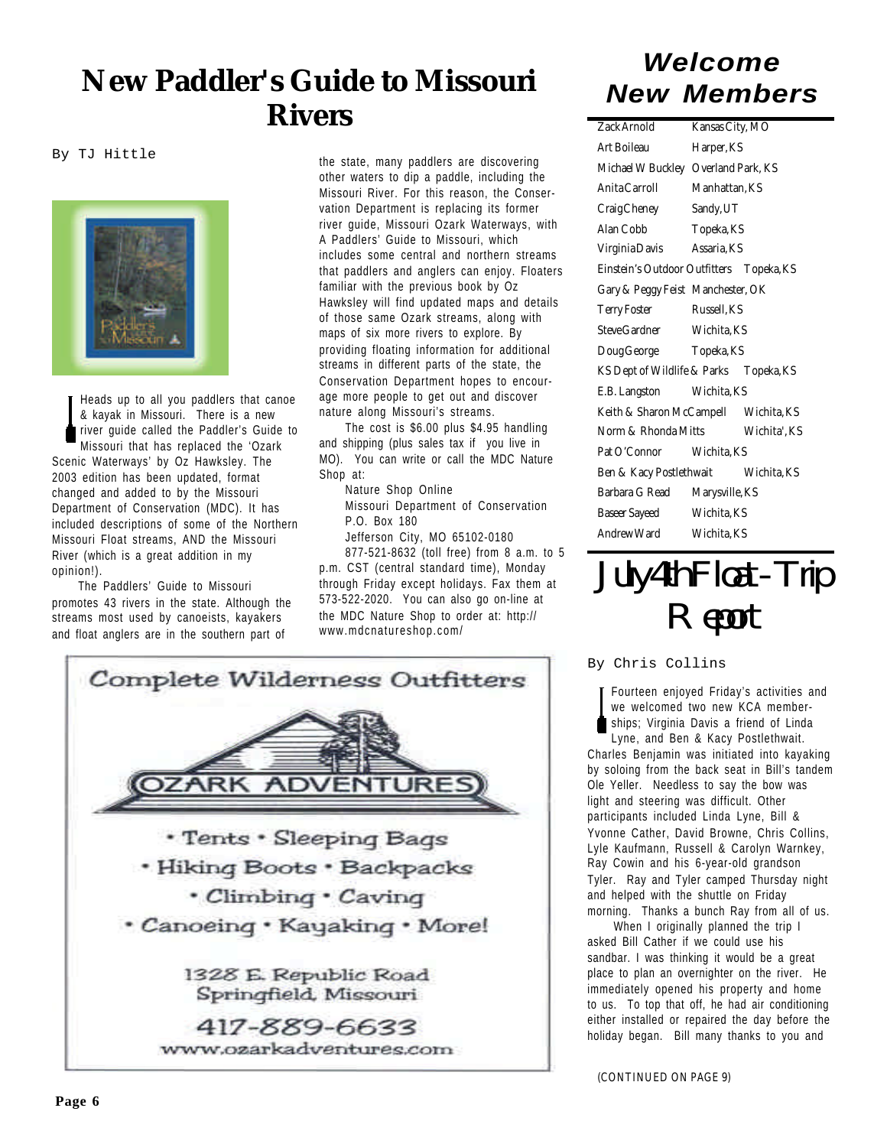### *Welcome New Paddler's Guide to Missouri New Members Rivers*

By TJ Hittle



Heads up to all you paddlers that canoe & kayak in Missouri. There is a new river guide called the Paddler's Guide to Missouri that has replaced the 'Ozark Scenic Waterways' by Oz Hawksley. The 2003 edition has been updated, format changed and added to by the Missouri Department of Conservation (MDC). It has included descriptions of some of the Northern Missouri Float streams, AND the Missouri River (which is a great addition in my opinion!).

The Paddlers' Guide to Missouri promotes 43 rivers in the state. Although the streams most used by canoeists, kayakers and float anglers are in the southern part of

the state, many paddlers are discovering other waters to dip a paddle, including the Missouri River. For this reason, the Conservation Department is replacing its former river guide, Missouri Ozark Waterways, with A Paddlers' Guide to Missouri, which includes some central and northern streams that paddlers and anglers can enjoy. Floaters familiar with the previous book by Oz Hawksley will find updated maps and details of those same Ozark streams, along with maps of six more rivers to explore. By providing floating information for additional streams in different parts of the state, the Conservation Department hopes to encourage more people to get out and discover nature along Missouri's streams.

The cost is \$6.00 plus \$4.95 handling and shipping (plus sales tax if you live in MO). You can write or call the MDC Nature Shop at:

Nature Shop Online Missouri Department of Conservation P.O. Box 180

Jefferson City, MO 65102-0180 877-521-8632 (toll free) from 8 a.m. to 5 p.m. CST (central standard time), Monday

through Friday except holidays. Fax them at 573-522-2020. You can also go on-line at the MDC Nature Shop to order at: http:// www.mdcnatureshop.com/



| ZackArnold                               | <b>Kansas City, MO</b> |              |
|------------------------------------------|------------------------|--------------|
| Art Boilean                              | Harper, KS             |              |
| Michael W Buckley Overland Park, KS      |                        |              |
| <b>AnitaCarroll</b>                      | <b>Manhattan, KS</b>   |              |
| CraigCheney                              | Sandy, UT              |              |
| <b>Alan Cobb</b>                         | <b>Topeka KS</b>       |              |
| VirginiaDavis                            | Assaria KS             |              |
| Einstein's Outdoor Outfitters Topeka, KS |                        |              |
| Gary & Peggy Feist Manchester, OK        |                        |              |
| <b>Terry Foster</b>                      | <b>Russell</b> . KS    |              |
| SteveGardner Wichita, KS                 |                        |              |
| DougGeorge Topeka, KS                    |                        |              |
| KS Dept of Wildlife & Parks Topeka, KS   |                        |              |
| E.B. Langston Wichita, KS                |                        |              |
| Keith & Sharon McCampell Wichita, KS     |                        |              |
| <b>Norm &amp; Rhonda Mitts</b>           |                        | Wichita', KS |
| Pat O'Connor Wichita KS                  |                        |              |
| Ben & Kacy Postlethwait Wichita, KS      |                        |              |
| Barbara G Read                           | <b>Marysville, KS</b>  |              |
| <b>Baseer Sayeed</b>                     | Wichita, KS            |              |
| <b>AndrewWard</b>                        | <b>Wichita KS</b>      |              |



By Chris Collins

Fourteen enjoyed Friday's activities and we welcomed two new KCA memberships; Virginia Davis a friend of Linda Lyne, and Ben & Kacy Postlethwait. Charles Benjamin was initiated into kayaking by soloing from the back seat in Bill's tandem Ole Yeller. Needless to say the bow was light and steering was difficult. Other participants included Linda Lyne, Bill & Yvonne Cather, David Browne, Chris Collins, Lyle Kaufmann, Russell & Carolyn Warnkey, Ray Cowin and his 6-year-old grandson Tyler. Ray and Tyler camped Thursday night and helped with the shuttle on Friday morning. Thanks a bunch Ray from all of us.

When I originally planned the trip I asked Bill Cather if we could use his sandbar. I was thinking it would be a great place to plan an overnighter on the river. He immediately opened his property and home to us. To top that off, he had air conditioning either installed or repaired the day before the holiday began. Bill many thanks to you and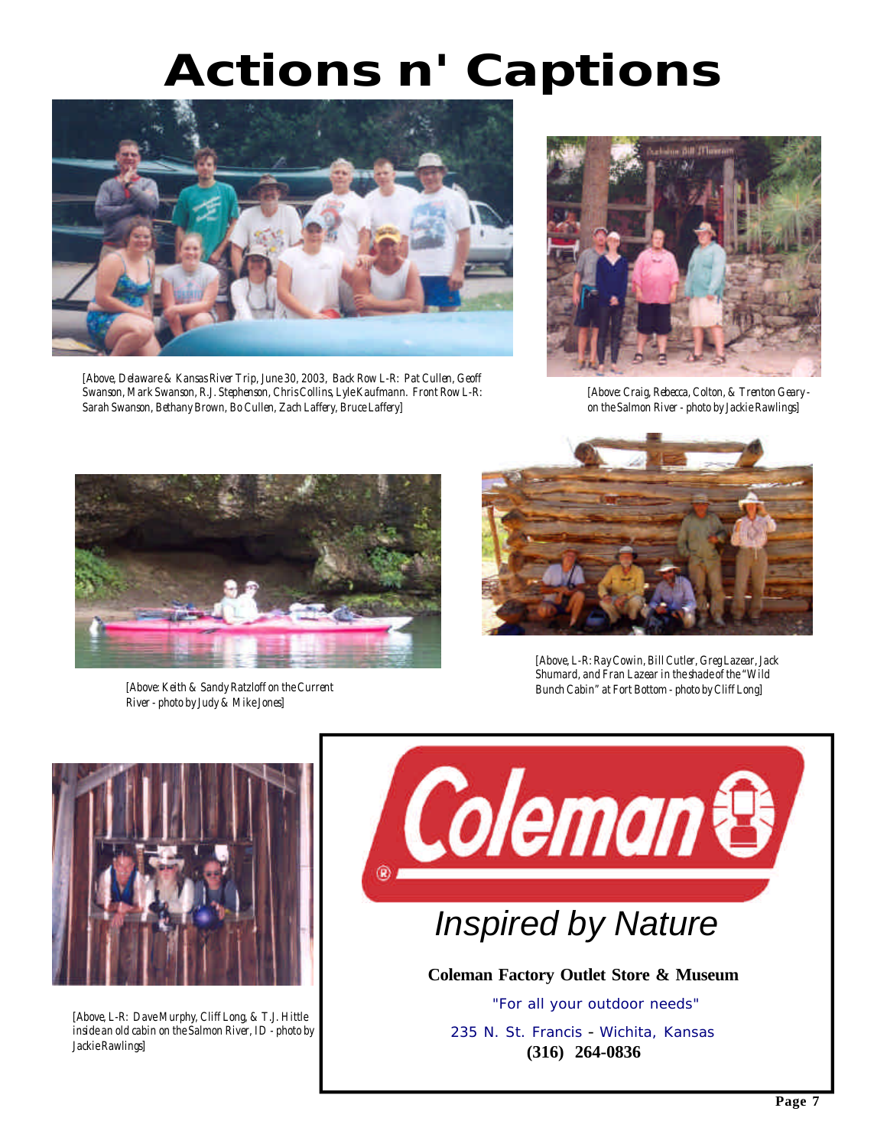# *Actions n' Captions*



*[Above, Delaware & Kansas River Trip, June 30, 2003, Back Row L-R: Pat Cullen, Geoff Swanson, Mark Swanson, R.J. Stephenson, Chris Collins, Lyle Kaufmann. Front Row L-R: Sarah Swanson, Bethany Brown, Bo Cullen, Zach Laffery, Bruce Laffery]*



*[Above: Craig, Rebecca, Colton, & Trenton Geary on the Salmon River - photo by Jackie Rawlings]*



*[Above: Keith & Sandy Ratzloff on the Current River - photo by Judy & Mike Jones]*



*[Above, L-R: Ray Cowin, Bill Cutler, Greg Lazear, Jack Shumard, and Fran Lazear in the shade of the "Wild Bunch Cabin" at Fort Bottom - photo by Cliff Long]*



*[Above, L-R: Dave Murphy, Cliff Long, & T.J. Hittle inside an old cabin on the Salmon River, ID - photo by Jackie Rawlings]*

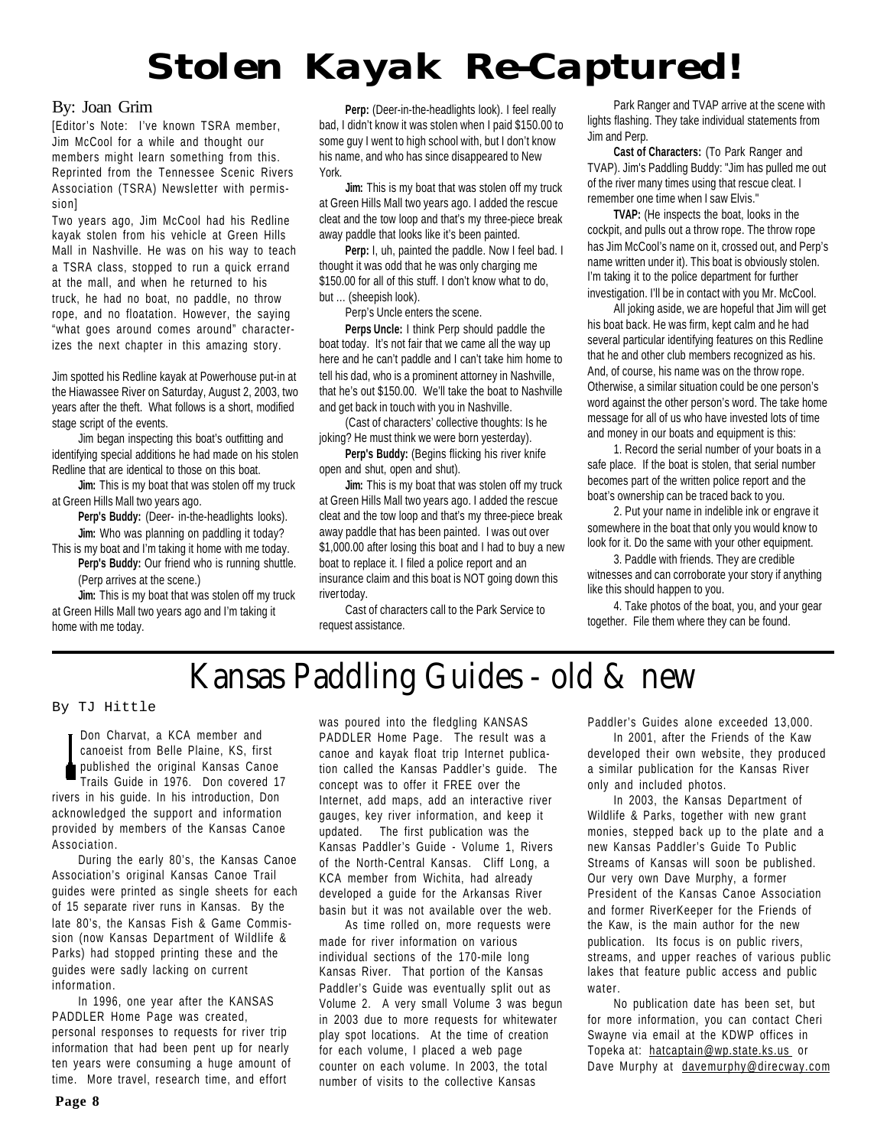# *Stolen Kayak Re-Captured!*

#### By: Joan Grim

[Editor's Note: I've known TSRA member, Jim McCool for a while and thought our members might learn something from this. Reprinted from the Tennessee Scenic Rivers Association (TSRA) Newsletter with permission]

Two years ago, Jim McCool had his Redline kayak stolen from his vehicle at Green Hills Mall in Nashville. He was on his way to teach a TSRA class, stopped to run a quick errand at the mall, and when he returned to his truck, he had no boat, no paddle, no throw rope, and no floatation. However, the saying "what goes around comes around" characterizes the next chapter in this amazing story.

Jim spotted his Redline kayak at Powerhouse put-in at the Hiawassee River on Saturday, August 2, 2003, two years after the theft. What follows is a short, modified stage script of the events.

Jim began inspecting this boat's outfitting and identifying special additions he had made on his stolen Redline that are identical to those on this boat.

**Jim:** This is my boat that was stolen off my truck at Green Hills Mall two years ago.

**Perp's Buddy:** (Deer- in-the-headlights looks). **Jim:** Who was planning on paddling it today?

This is my boat and I'm taking it home with me today. **Perp's Buddy:** Our friend who is running shuttle.

(Perp arrives at the scene.) **Jim:** This is my boat that was stolen off my truck at Green Hills Mall two years ago and I'm taking it

Perp: (Deer-in-the-headlights look). I feel really bad, I didn't know it was stolen when I paid \$150.00 to some guy I went to high school with, but I don't know his name, and who has since disappeared to New York.

**Jim:** This is my boat that was stolen off my truck at Green Hills Mall two years ago. I added the rescue cleat and the tow loop and that's my three-piece break away paddle that looks like it's been painted.

Perp: I, uh, painted the paddle. Now I feel bad. I thought it was odd that he was only charging me \$150.00 for all of this stuff. I don't know what to do, but … (sheepish look).

Perp's Uncle enters the scene.

**Perps Uncle:** I think Perp should paddle the boat today. It's not fair that we came all the way up here and he can't paddle and I can't take him home to tell his dad, who is a prominent attorney in Nashville, that he's out \$150.00. We'll take the boat to Nashville and get back in touch with you in Nashville.

(Cast of characters' collective thoughts: Is he joking? He must think we were born yesterday).

**Perp's Buddy:** (Begins flicking his river knife open and shut, open and shut).

**Jim:** This is my boat that was stolen off my truck at Green Hills Mall two years ago. I added the rescue cleat and the tow loop and that's my three-piece break away paddle that has been painted. I was out over \$1,000.00 after losing this boat and I had to buy a new boat to replace it. I filed a police report and an insurance claim and this boat is NOT going down this river today.

Cast of characters call to the Park Service to request assistance.

Park Ranger and TVAP arrive at the scene with lights flashing. They take individual statements from Jim and Perp.

**Cast of Characters:** (To Park Ranger and TVAP). Jim's Paddling Buddy: "Jim has pulled me out of the river many times using that rescue cleat. I remember one time when I saw Elvis."

**TVAP:** (He inspects the boat, looks in the cockpit, and pulls out a throw rope. The throw rope has Jim McCool's name on it, crossed out, and Perp's name written under it). This boat is obviously stolen. I'm taking it to the police department for further investigation. I'll be in contact with you Mr. McCool.

All joking aside, we are hopeful that Jim will get his boat back. He was firm, kept calm and he had several particular identifying features on this Redline that he and other club members recognized as his. And, of course, his name was on the throw rope. Otherwise, a similar situation could be one person's word against the other person's word. The take home message for all of us who have invested lots of time and money in our boats and equipment is this:

1. Record the serial number of your boats in a safe place. If the boat is stolen, that serial number becomes part of the written police report and the boat's ownership can be traced back to you.

2. Put your name in indelible ink or engrave it somewhere in the boat that only you would know to look for it. Do the same with your other equipment.

3. Paddle with friends. They are credible witnesses and can corroborate your story if anything like this should happen to you.

4. Take photos of the boat, you, and your gear together. File them where they can be found.

### **Kansas Paddling Guides - old & new**

#### By TJ Hittle

home with me today.

Don Charvat, a KCA member and canoeist from Belle Plaine, KS, first published the original Kansas Canoe Trails Guide in 1976. Don covered 17 rivers in his guide. In his introduction, Don acknowledged the support and information provided by members of the Kansas Canoe Association.

During the early 80's, the Kansas Canoe Association's original Kansas Canoe Trail guides were printed as single sheets for each of 15 separate river runs in Kansas. By the late 80's, the Kansas Fish & Game Commission (now Kansas Department of Wildlife & Parks) had stopped printing these and the guides were sadly lacking on current information.

In 1996, one year after the KANSAS PADDLER Home Page was created, personal responses to requests for river trip information that had been pent up for nearly ten years were consuming a huge amount of time. More travel, research time, and effort

was poured into the fledgling KANSAS PADDLER Home Page. The result was a canoe and kayak float trip Internet publication called the Kansas Paddler's guide. The concept was to offer it FREE over the Internet, add maps, add an interactive river gauges, key river information, and keep it updated. The first publication was the Kansas Paddler's Guide - Volume 1, Rivers of the North-Central Kansas. Cliff Long, a KCA member from Wichita, had already developed a guide for the Arkansas River basin but it was not available over the web.

As time rolled on, more requests were made for river information on various individual sections of the 170-mile long Kansas River. That portion of the Kansas Paddler's Guide was eventually split out as Volume 2. A very small Volume 3 was begun in 2003 due to more requests for whitewater play spot locations. At the time of creation for each volume, I placed a web page counter on each volume. In 2003, the total number of visits to the collective Kansas

Paddler's Guides alone exceeded 13,000.

In 2001, after the Friends of the Kaw developed their own website, they produced a similar publication for the Kansas River only and included photos.

In 2003, the Kansas Department of Wildlife & Parks, together with new grant monies, stepped back up to the plate and a new Kansas Paddler's Guide To Public Streams of Kansas will soon be published. Our very own Dave Murphy, a former President of the Kansas Canoe Association and former RiverKeeper for the Friends of the Kaw, is the main author for the new publication. Its focus is on public rivers, streams, and upper reaches of various public lakes that feature public access and public water.

No publication date has been set, but for more information, you can contact Cheri Swayne via email at the KDWP offices in Topeka at: hatcaptain@wp.state.ks.us or Dave Murphy at davemurphy@direcway.com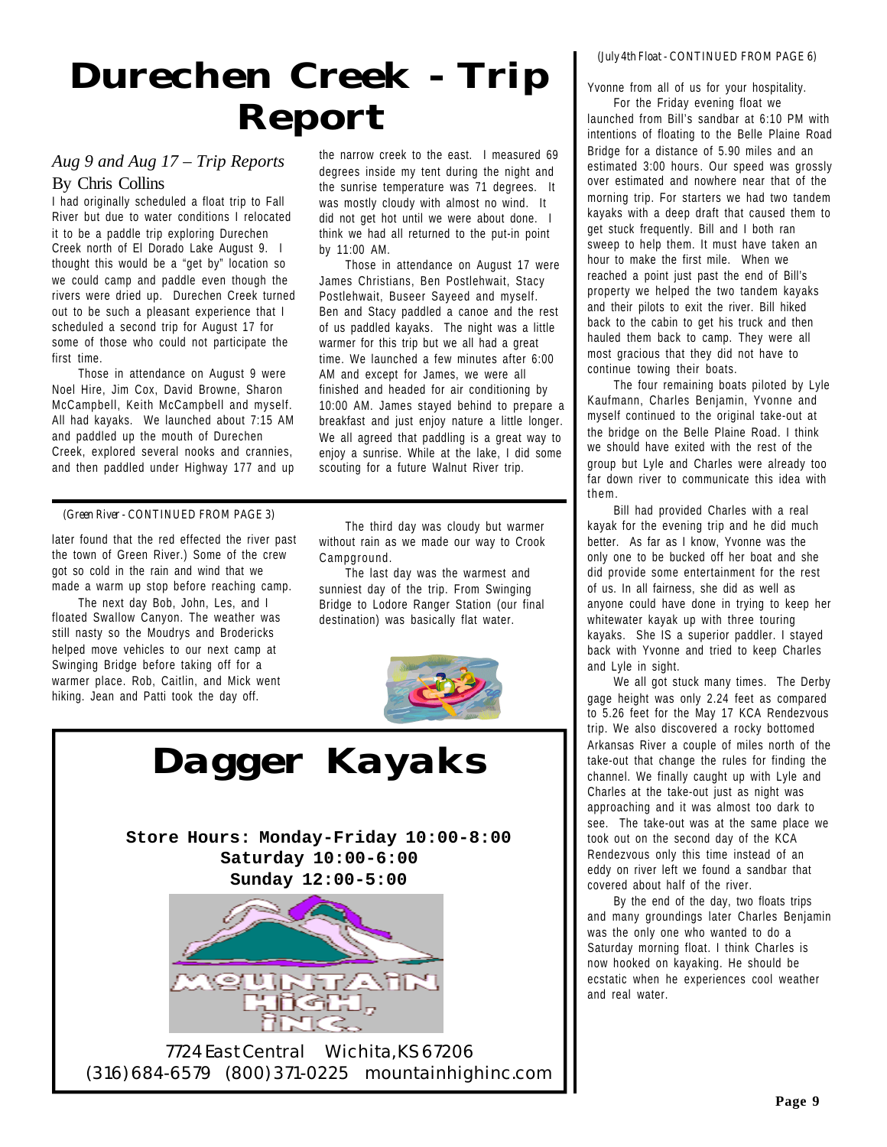# *Durechen Creek - Trip Report*

#### *Aug 9 and Aug 17 – Trip Reports* By Chris Collins

I had originally scheduled a float trip to Fall River but due to water conditions I relocated it to be a paddle trip exploring Durechen Creek north of El Dorado Lake August 9. I thought this would be a "get by" location so we could camp and paddle even though the rivers were dried up. Durechen Creek turned out to be such a pleasant experience that I scheduled a second trip for August 17 for some of those who could not participate the first time.

Those in attendance on August 9 were Noel Hire, Jim Cox, David Browne, Sharon McCampbell, Keith McCampbell and myself. All had kayaks. We launched about 7:15 AM and paddled up the mouth of Durechen Creek, explored several nooks and crannies, and then paddled under Highway 177 and up the narrow creek to the east. I measured 69 degrees inside my tent during the night and the sunrise temperature was 71 degrees. It was mostly cloudy with almost no wind. It did not get hot until we were about done. I think we had all returned to the put-in point by 11:00 AM.

Those in attendance on August 17 were James Christians, Ben Postlehwait, Stacy Postlehwait, Buseer Sayeed and myself. Ben and Stacy paddled a canoe and the rest of us paddled kayaks. The night was a little warmer for this trip but we all had a great time. We launched a few minutes after 6:00 AM and except for James, we were all finished and headed for air conditioning by 10:00 AM. James stayed behind to prepare a breakfast and just enjoy nature a little longer. We all agreed that paddling is a great way to enjoy a sunrise. While at the lake, I did some scouting for a future Walnut River trip.

#### *(Green River - CONTINUED FROM PAGE 3)*

later found that the red effected the river past the town of Green River.) Some of the crew got so cold in the rain and wind that we made a warm up stop before reaching camp.

The next day Bob, John, Les, and I floated Swallow Canyon. The weather was still nasty so the Moudrys and Brodericks helped move vehicles to our next camp at Swinging Bridge before taking off for a warmer place. Rob, Caitlin, and Mick went hiking. Jean and Patti took the day off.

The third day was cloudy but warmer without rain as we made our way to Crook Campground.

The last day was the warmest and sunniest day of the trip. From Swinging Bridge to Lodore Ranger Station (our final destination) was basically flat water.



**Store Hours: Monday-Friday 10:00-8:00 Saturday 10:00-6:00 Sunday 12:00-5:00** *Dagger Kayaks*

7724 East Central Wichita, KS 67206 (316) 684-6579 (800) 371-0225 mountainhighinc.com

#### *(July 4th Float - CONTINUED FROM PAGE 6)*

Yvonne from all of us for your hospitality.

For the Friday evening float we launched from Bill's sandbar at 6:10 PM with intentions of floating to the Belle Plaine Road Bridge for a distance of 5.90 miles and an estimated 3:00 hours. Our speed was grossly over estimated and nowhere near that of the morning trip. For starters we had two tandem kayaks with a deep draft that caused them to get stuck frequently. Bill and I both ran sweep to help them. It must have taken an hour to make the first mile. When we reached a point just past the end of Bill's property we helped the two tandem kayaks and their pilots to exit the river. Bill hiked back to the cabin to get his truck and then hauled them back to camp. They were all most gracious that they did not have to continue towing their boats.

The four remaining boats piloted by Lyle Kaufmann, Charles Benjamin, Yvonne and myself continued to the original take-out at the bridge on the Belle Plaine Road. I think we should have exited with the rest of the group but Lyle and Charles were already too far down river to communicate this idea with them.

Bill had provided Charles with a real kayak for the evening trip and he did much better. As far as I know, Yvonne was the only one to be bucked off her boat and she did provide some entertainment for the rest of us. In all fairness, she did as well as anyone could have done in trying to keep her whitewater kayak up with three touring kayaks. She IS a superior paddler. I stayed back with Yvonne and tried to keep Charles and Lyle in sight.

We all got stuck many times. The Derby gage height was only 2.24 feet as compared to 5.26 feet for the May 17 KCA Rendezvous trip. We also discovered a rocky bottomed Arkansas River a couple of miles north of the take-out that change the rules for finding the channel. We finally caught up with Lyle and Charles at the take-out just as night was approaching and it was almost too dark to see. The take-out was at the same place we took out on the second day of the KCA Rendezvous only this time instead of an eddy on river left we found a sandbar that covered about half of the river.

By the end of the day, two floats trips and many groundings later Charles Benjamin was the only one who wanted to do a Saturday morning float. I think Charles is now hooked on kayaking. He should be ecstatic when he experiences cool weather and real water.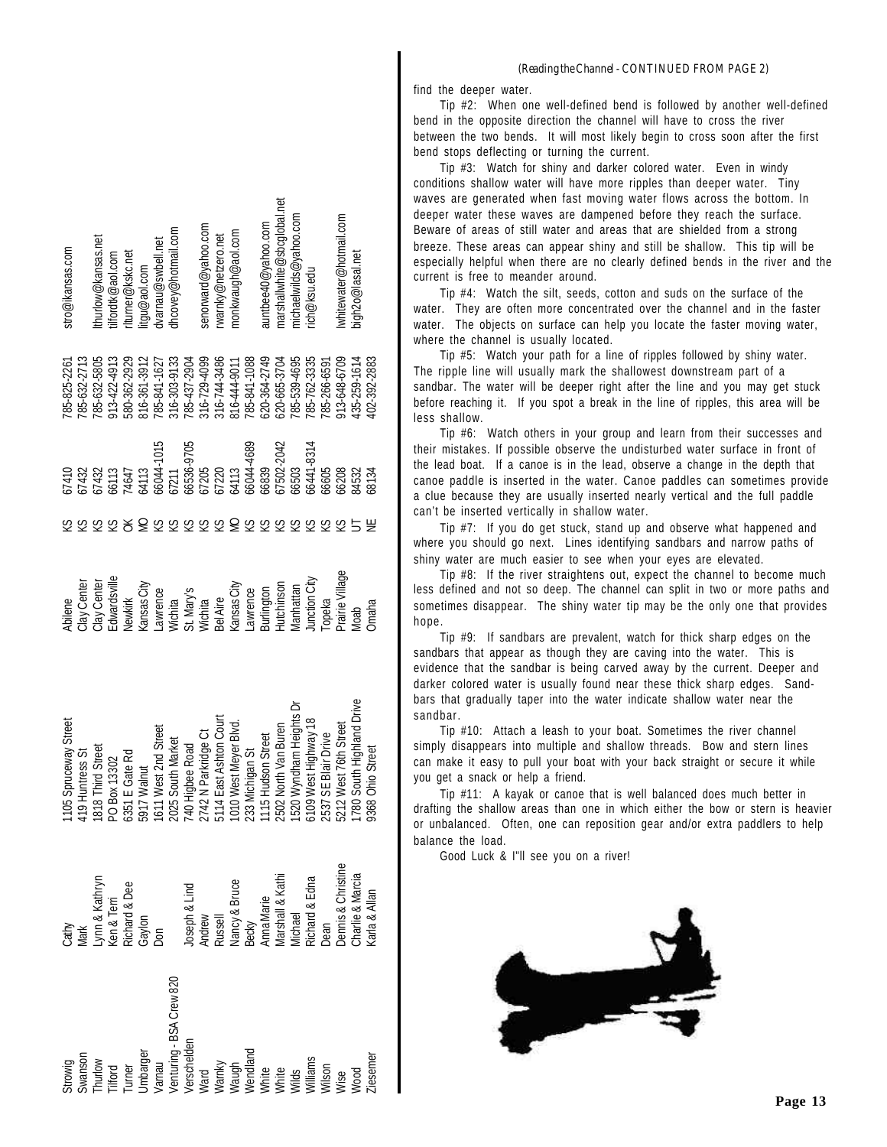| stro@ikansas.com                                                                                                                                                                                                                                                                       | :hurlow@kansas.net   | ilfordtk@aol.com             | turner@kskc.net | ttgu@aol.com                                                                                                                                                                                                                                                                                                                                      | lvarnau@swbell.net                  | thcovey@hotmail.com |                           | senorward@yahoo.com       | rwarnky@netzero.net          | monkwaugh@aol.com                                                                                                                                                                                           |                           | auntbee40@yahoo.com  | marshallwhite@sbcglobal.net | michaelwilds@yahoo.com | ich@ksu.edu              |                     | whitewater@hotmail.com | bigh2o@lasal.net     |                      |
|----------------------------------------------------------------------------------------------------------------------------------------------------------------------------------------------------------------------------------------------------------------------------------------|----------------------|------------------------------|-----------------|---------------------------------------------------------------------------------------------------------------------------------------------------------------------------------------------------------------------------------------------------------------------------------------------------------------------------------------------------|-------------------------------------|---------------------|---------------------------|---------------------------|------------------------------|-------------------------------------------------------------------------------------------------------------------------------------------------------------------------------------------------------------|---------------------------|----------------------|-----------------------------|------------------------|--------------------------|---------------------|------------------------|----------------------|----------------------|
| 185-825-2261<br>785-632-2713<br>01410<br>7432                                                                                                                                                                                                                                          | 185-632-5805<br>7432 | 13-422-4913<br>6113<br>14647 | 6262-2562       | 16-361-3912                                                                                                                                                                                                                                                                                                                                       | 785-841-1627<br>54113<br>56044-1015 | 16-303-9133<br>7211 | 185-437-2904<br>6536-9705 | $16 - 729 - 4099$<br>7205 | 16-744-3486<br>17220<br>4113 | $116 - 444 - 9011$                                                                                                                                                                                          | 785-841-1088<br>6044-4689 | 520-364-2749<br>6839 | 520-665-3704<br>7502-2042   | /85-539-4695<br>6503   | 85-762-3335<br>6441-8314 | 85-266-6591<br>6605 | 13-648-6709<br>6208    | 35-259-1614<br>14532 | 102-392-2883<br>6134 |
|                                                                                                                                                                                                                                                                                        |                      |                              |                 |                                                                                                                                                                                                                                                                                                                                                   |                                     |                     |                           |                           |                              |                                                                                                                                                                                                             |                           |                      |                             |                        |                          |                     |                        |                      |                      |
| Center<br><b>kbilene</b>                                                                                                                                                                                                                                                               | Center               | dwardsville                  | Vewkirk         | <ansas city<="" td=""><td>awrence</td><td>Vichita</td><td>3t. Mary's<br/>Michita</td><td></td><td><b>BelAire</b></td><td><ansas city<="" td=""><td>awrence</td><td>lurlington</td><td><b>lutchinson</b></td><td><b>Manhattan</b></td><td>unction City</td><td>Topeka</td><td>arairie Village</td><td>deol</td><td>Dmaha</td></ansas></td></ansas> | awrence                             | Vichita             | 3t. Mary's<br>Michita     |                           | <b>BelAire</b>               | <ansas city<="" td=""><td>awrence</td><td>lurlington</td><td><b>lutchinson</b></td><td><b>Manhattan</b></td><td>unction City</td><td>Topeka</td><td>arairie Village</td><td>deol</td><td>Dmaha</td></ansas> | awrence                   | lurlington           | <b>lutchinson</b>           | <b>Manhattan</b>       | unction City             | Topeka              | arairie Village        | deol                 | Dmaha                |
| Spruceway Street<br>1105 Spruceway Street<br>419 Huntress St<br>818 Third Street<br>59 Deox 13302<br>5917 Walnut<br>1611 West 2nd Street<br>5917 Walnut<br>2025 South Market<br>2142 Ne Rekated<br>5114 East Ashton Court<br>5114 East Ashton Court<br>1115 Hudson Street<br>5502 Nort |                      |                              |                 |                                                                                                                                                                                                                                                                                                                                                   |                                     |                     |                           |                           | East Ashton Cour             |                                                                                                                                                                                                             |                           |                      |                             | Wyndham Heights Dr     | West Highway 18          |                     |                        | South Highland Drive |                      |
| Cathy<br>Mark<br>Lynn & Kathryn<br>Ken & Terri<br>Richard & Dee<br>Gaylon<br>Don<br>Anna & Bruce<br>Narshall & Kathi<br>Marshall & Kathi<br>Marshall & Kathi<br>Michael<br>Nichael<br>Dean<br>Dean Bronis & Christine<br>Dean                                                          |                      |                              |                 |                                                                                                                                                                                                                                                                                                                                                   |                                     |                     |                           |                           |                              |                                                                                                                                                                                                             |                           |                      |                             |                        |                          |                     |                        |                      |                      |
| Strowig<br>Swanson<br>Thurlow<br>The Hotal<br>Umbarger<br>Venturing - BSA Crew 820<br>Werschelden<br>Warky<br>Warky<br>Wendland<br>White<br>Williams<br>Williams<br>Williams<br>Williams<br>Williams<br>Williams<br>Williams                                                           |                      |                              |                 |                                                                                                                                                                                                                                                                                                                                                   |                                     |                     |                           |                           |                              |                                                                                                                                                                                                             |                           |                      |                             |                        |                          |                     |                        |                      |                      |

#### *(Reading the Channel - CONTINUED FROM PAGE 2)*

find the deeper water.

Tip #2: When one well-defined bend is followed by another well-defined bend in the opposite direction the channel will have to cross the river between the two bends. It will most likely begin to cross soon after the first bend stops deflecting or turning the current.

Tip #3: Watch for shiny and darker colored water. Even in windy conditions shallow water will have more ripples than deeper water. Tiny waves are generated when fast moving water flows across the bottom. In deeper water these waves are dampened before they reach the surface. Beware of areas of still water and areas that are shielded from a strong breeze. These areas can appear shiny and still be shallow. This tip will be especially helpful when there are no clearly defined bends in the river and the current is free to meander around.

Tip #4: Watch the silt, seeds, cotton and suds on the surface of the water. They are often more concentrated over the channel and in the faster water. The objects on surface can help you locate the faster moving water, where the channel is usually located.

Tip #5: Watch your path for a line of ripples followed by shiny water. The ripple line will usually mark the shallowest downstream part of a sandbar. The water will be deeper right after the line and you may get stuck before reaching it. If you spot a break in the line of ripples, this area will be less shallow.

Tip #6: Watch others in your group and learn from their successes and their mistakes. If possible observe the undisturbed water surface in front of the lead boat. If a canoe is in the lead, observe a change in the depth that canoe paddle is inserted in the water. Canoe paddles can sometimes provide a clue because they are usually inserted nearly vertical and the full paddle can't be inserted vertically in shallow water.

Tip #7: If you do get stuck, stand up and observe what happened and where you should go next. Lines identifying sandbars and narrow paths of shiny water are much easier to see when your eyes are elevated.

Tip #8: If the river straightens out, expect the channel to become much less defined and not so deep. The channel can split in two or more paths and sometimes disappear. The shiny water tip may be the only one that provides hope.

Tip #9: If sandbars are prevalent, watch for thick sharp edges on the sandbars that appear as though they are caving into the water. This is evidence that the sandbar is being carved away by the current. Deeper and darker colored water is usually found near these thick sharp edges. Sandbars that gradually taper into the water indicate shallow water near the sandbar.

Tip #10: Attach a leash to your boat. Sometimes the river channel simply disappears into multiple and shallow threads. Bow and stern lines can make it easy to pull your boat with your back straight or secure it while you get a snack or help a friend.

Tip #11: A kayak or canoe that is well balanced does much better in drafting the shallow areas than one in which either the bow or stern is heavier or unbalanced. Often, one can reposition gear and/or extra paddlers to help balance the load.

Good Luck & I"ll see you on a river!

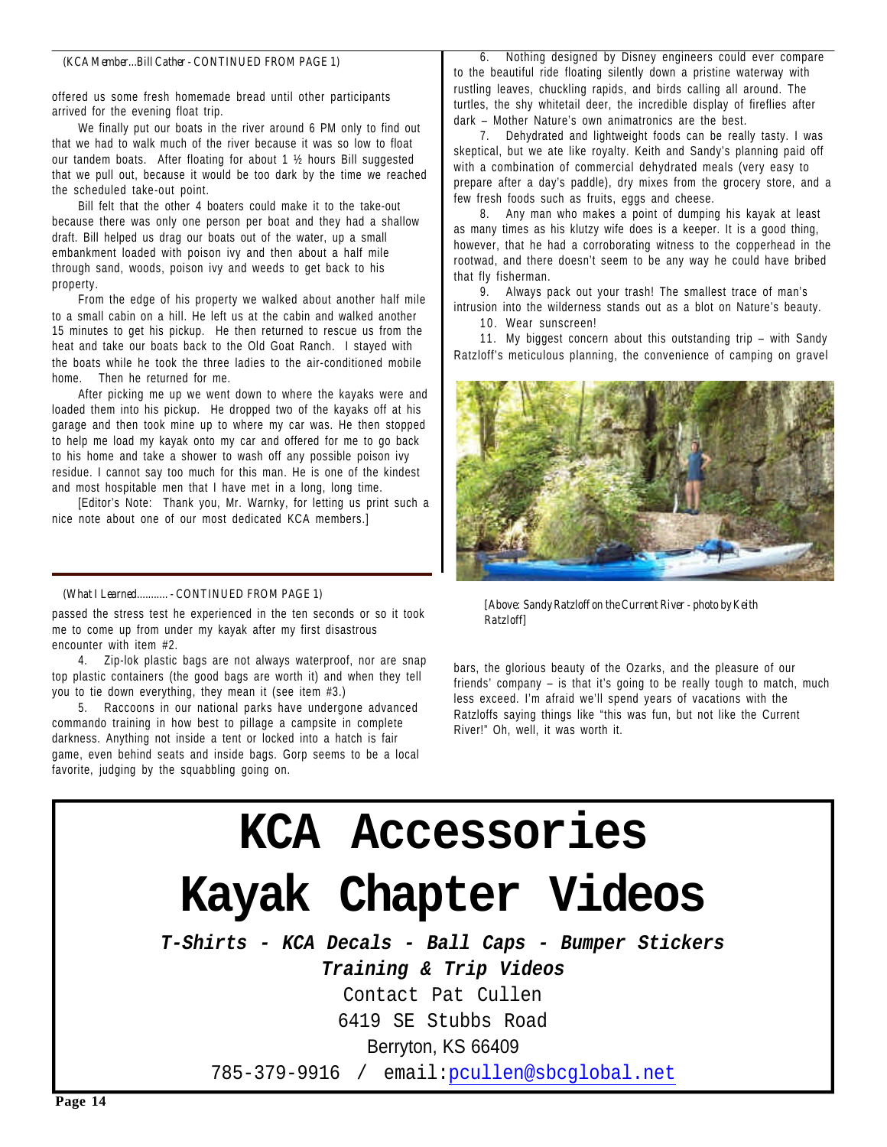#### *(KCA Member...Bill Cather - CONTINUED FROM PAGE 1)*

offered us some fresh homemade bread until other participants arrived for the evening float trip.

We finally put our boats in the river around 6 PM only to find out that we had to walk much of the river because it was so low to float our tandem boats. After floating for about 1 ½ hours Bill suggested that we pull out, because it would be too dark by the time we reached the scheduled take-out point.

Bill felt that the other 4 boaters could make it to the take-out because there was only one person per boat and they had a shallow draft. Bill helped us drag our boats out of the water, up a small embankment loaded with poison ivy and then about a half mile through sand, woods, poison ivy and weeds to get back to his property.

From the edge of his property we walked about another half mile to a small cabin on a hill. He left us at the cabin and walked another 15 minutes to get his pickup. He then returned to rescue us from the heat and take our boats back to the Old Goat Ranch. I stayed with the boats while he took the three ladies to the air-conditioned mobile home. Then he returned for me.

After picking me up we went down to where the kayaks were and loaded them into his pickup. He dropped two of the kayaks off at his garage and then took mine up to where my car was. He then stopped to help me load my kayak onto my car and offered for me to go back to his home and take a shower to wash off any possible poison ivy residue. I cannot say too much for this man. He is one of the kindest and most hospitable men that I have met in a long, long time.

[Editor's Note: Thank you, Mr. Warnky, for letting us print such a nice note about one of our most dedicated KCA members.]

#### *(What I Learned........... - CONTINUED FROM PAGE 1)*

passed the stress test he experienced in the ten seconds or so it took me to come up from under my kayak after my first disastrous encounter with item #2.

4. Zip-lok plastic bags are not always waterproof, nor are snap top plastic containers (the good bags are worth it) and when they tell you to tie down everything, they mean it (see item #3.)

5. Raccoons in our national parks have undergone advanced commando training in how best to pillage a campsite in complete darkness. Anything not inside a tent or locked into a hatch is fair game, even behind seats and inside bags. Gorp seems to be a local favorite, judging by the squabbling going on.

6. Nothing designed by Disney engineers could ever compare to the beautiful ride floating silently down a pristine waterway with rustling leaves, chuckling rapids, and birds calling all around. The turtles, the shy whitetail deer, the incredible display of fireflies after dark – Mother Nature's own animatronics are the best.

7. Dehydrated and lightweight foods can be really tasty. I was skeptical, but we ate like royalty. Keith and Sandy's planning paid off with a combination of commercial dehydrated meals (very easy to prepare after a day's paddle), dry mixes from the grocery store, and a few fresh foods such as fruits, eggs and cheese.

8. Any man who makes a point of dumping his kayak at least as many times as his klutzy wife does is a keeper. It is a good thing, however, that he had a corroborating witness to the copperhead in the rootwad, and there doesn't seem to be any way he could have bribed that fly fisherman.

9. Always pack out your trash! The smallest trace of man's intrusion into the wilderness stands out as a blot on Nature's beauty.

10. Wear sunscreen!

11. My biggest concern about this outstanding trip – with Sandy Ratzloff's meticulous planning, the convenience of camping on gravel



*[Above: Sandy Ratzloff on the Current River - photo by Keith Ratzloff]*

bars, the glorious beauty of the Ozarks, and the pleasure of our friends' company – is that it's going to be really tough to match, much less exceed. I'm afraid we'll spend years of vacations with the Ratzloffs saying things like "this was fun, but not like the Current River!" Oh, well, it was worth it.

### **KCA Accessories Kayak Chapter Videos** *T-Shirts - KCA Decals - Ball Caps - Bumper Stickers Training & Trip Videos* Contact Pat Cullen 6419 SE Stubbs Road Berryton, KS 66409 785-379-9916 / email:pcullen@sbcglobal.net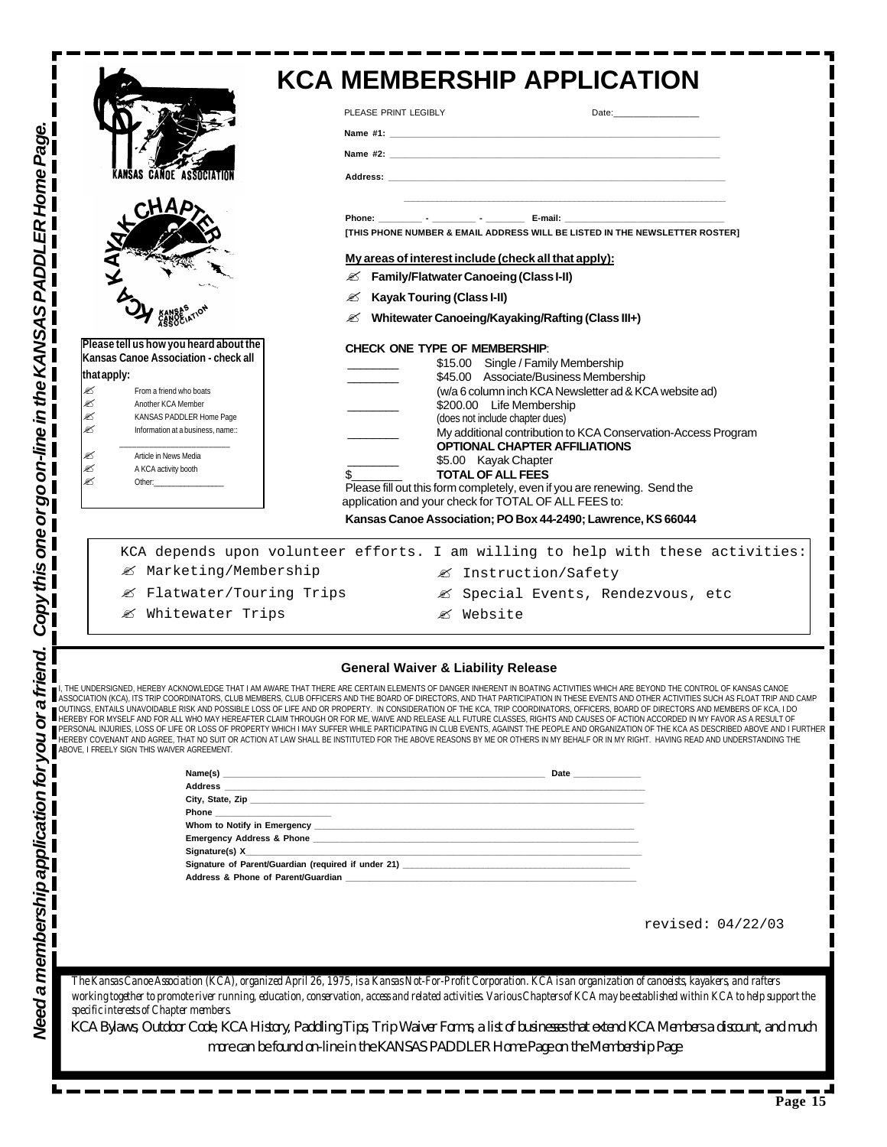|                                                                                                                                                                                                                                     | PLEASE PRINT LEGIBLY                                                                                                                                                                                                                                                                                                                                                                                                                                                                                                                                                                               |  |
|-------------------------------------------------------------------------------------------------------------------------------------------------------------------------------------------------------------------------------------|----------------------------------------------------------------------------------------------------------------------------------------------------------------------------------------------------------------------------------------------------------------------------------------------------------------------------------------------------------------------------------------------------------------------------------------------------------------------------------------------------------------------------------------------------------------------------------------------------|--|
|                                                                                                                                                                                                                                     | Name $\#2$ :                                                                                                                                                                                                                                                                                                                                                                                                                                                                                                                                                                                       |  |
| <b>CANOE ASSOCIATION</b>                                                                                                                                                                                                            |                                                                                                                                                                                                                                                                                                                                                                                                                                                                                                                                                                                                    |  |
|                                                                                                                                                                                                                                     |                                                                                                                                                                                                                                                                                                                                                                                                                                                                                                                                                                                                    |  |
|                                                                                                                                                                                                                                     | [THIS PHONE NUMBER & EMAIL ADDRESS WILL BE LISTED IN THE NEWSLETTER ROSTER]                                                                                                                                                                                                                                                                                                                                                                                                                                                                                                                        |  |
|                                                                                                                                                                                                                                     | My areas of interest include (check all that apply):                                                                                                                                                                                                                                                                                                                                                                                                                                                                                                                                               |  |
|                                                                                                                                                                                                                                     | <b>EX</b> Family/Flatwater Canoeing (Class I-II)                                                                                                                                                                                                                                                                                                                                                                                                                                                                                                                                                   |  |
|                                                                                                                                                                                                                                     | <b>Kayak Touring (Class I-II)</b><br>✍                                                                                                                                                                                                                                                                                                                                                                                                                                                                                                                                                             |  |
|                                                                                                                                                                                                                                     | <b><i><b>E</b></i></b> Whitewater Canoeing/Kayaking/Rafting (Class III+)                                                                                                                                                                                                                                                                                                                                                                                                                                                                                                                           |  |
| Please tell us how you heard about the<br>Kansas Canoe Association - check all                                                                                                                                                      | <b>CHECK ONE TYPE OF MEMBERSHIP:</b><br>\$15.00 Single / Family Membership                                                                                                                                                                                                                                                                                                                                                                                                                                                                                                                         |  |
| that apply:                                                                                                                                                                                                                         | \$45.00 Associate/Business Membership                                                                                                                                                                                                                                                                                                                                                                                                                                                                                                                                                              |  |
| ≤<br>From a friend who boats<br>€<br>Another KCA Member                                                                                                                                                                             | (w/a 6 column inch KCA Newsletter ad & KCA website ad)<br>\$200.00 Life Membership                                                                                                                                                                                                                                                                                                                                                                                                                                                                                                                 |  |
| ø<br>KANSAS PADDLER Home Page                                                                                                                                                                                                       | (does not include chapter dues)                                                                                                                                                                                                                                                                                                                                                                                                                                                                                                                                                                    |  |
| ø<br>Information at a business, name::                                                                                                                                                                                              | My additional contribution to KCA Conservation-Access Program<br><b>OPTIONAL CHAPTER AFFILIATIONS</b>                                                                                                                                                                                                                                                                                                                                                                                                                                                                                              |  |
| €<br>Article in News Media<br>ø<br>A KCA activity booth                                                                                                                                                                             | \$5.00 Kayak Chapter                                                                                                                                                                                                                                                                                                                                                                                                                                                                                                                                                                               |  |
| ≤<br>Other: and the contract of the contract of the contract of the contract of the contract of the contract of the contract of the contract of the contract of the contract of the contract of the contract of the contract of the | <b>TOTAL OF ALL FEES</b><br>Please fill out this form completely, even if you are renewing. Send the                                                                                                                                                                                                                                                                                                                                                                                                                                                                                               |  |
|                                                                                                                                                                                                                                     | application and your check for TOTAL OF ALL FEES to:                                                                                                                                                                                                                                                                                                                                                                                                                                                                                                                                               |  |
|                                                                                                                                                                                                                                     | Kansas Canoe Association; PO Box 44-2490; Lawrence, KS 66044                                                                                                                                                                                                                                                                                                                                                                                                                                                                                                                                       |  |
|                                                                                                                                                                                                                                     | KCA depends upon volunteer efforts. I am willing to help with these activities:                                                                                                                                                                                                                                                                                                                                                                                                                                                                                                                    |  |
| ■ Marketing/Membership                                                                                                                                                                                                              | ■ Instruction/Safety                                                                                                                                                                                                                                                                                                                                                                                                                                                                                                                                                                               |  |
| ■ Flatwater/Touring Trips                                                                                                                                                                                                           | ■ Special Events, Rendezvous, etc                                                                                                                                                                                                                                                                                                                                                                                                                                                                                                                                                                  |  |
| & Whitewater Trips                                                                                                                                                                                                                  | <i>&lt;</i> ≤ Website                                                                                                                                                                                                                                                                                                                                                                                                                                                                                                                                                                              |  |
|                                                                                                                                                                                                                                     |                                                                                                                                                                                                                                                                                                                                                                                                                                                                                                                                                                                                    |  |
|                                                                                                                                                                                                                                     | <b>General Waiver &amp; Liability Release</b>                                                                                                                                                                                                                                                                                                                                                                                                                                                                                                                                                      |  |
| ABOVE, I FREELY SIGN THIS WAIVER AGREEMENT.                                                                                                                                                                                         | THE UNDERSIGNED, HEREBY ACKNOWLEDGE THAT I AM AWARE THAT THERE ARE CERTAIN ELEMENTS OF DANGER INHERENT IN BOATING ACTIVITIES WHICH ARE BEYOND THE CONTROL OF KANSAS CANOE<br>ASSOCIATION (KCA), ITS TRIP COORDINATORS, CLUB MEMBERS, CLUB OFFICERS AND THE BOARD OF DIRECTORS, AND THAT PARTICIPATION IN THESE EVENTS AND OTHER ACTIVITIES SUCH AS FLOAT TRIP AND CAMP<br>  OLTINGS, ENTAILS UNAVOIDABLE RISK<br>HEREBY COVENANT AND AGREE, THAT NO SUIT OR ACTION AT LAW SHALL BE INSTITUTED FOR THE ABOVE REASONS BY ME OR OTHERS IN MY BEHALF OR IN MY RIGHT. HAVING READ AND UNDERSTANDING THE |  |
|                                                                                                                                                                                                                                     |                                                                                                                                                                                                                                                                                                                                                                                                                                                                                                                                                                                                    |  |
|                                                                                                                                                                                                                                     |                                                                                                                                                                                                                                                                                                                                                                                                                                                                                                                                                                                                    |  |
|                                                                                                                                                                                                                                     |                                                                                                                                                                                                                                                                                                                                                                                                                                                                                                                                                                                                    |  |
|                                                                                                                                                                                                                                     |                                                                                                                                                                                                                                                                                                                                                                                                                                                                                                                                                                                                    |  |
|                                                                                                                                                                                                                                     |                                                                                                                                                                                                                                                                                                                                                                                                                                                                                                                                                                                                    |  |
| Signature(s) X                                                                                                                                                                                                                      |                                                                                                                                                                                                                                                                                                                                                                                                                                                                                                                                                                                                    |  |
|                                                                                                                                                                                                                                     |                                                                                                                                                                                                                                                                                                                                                                                                                                                                                                                                                                                                    |  |
|                                                                                                                                                                                                                                     |                                                                                                                                                                                                                                                                                                                                                                                                                                                                                                                                                                                                    |  |
|                                                                                                                                                                                                                                     | revised: 04/22/03                                                                                                                                                                                                                                                                                                                                                                                                                                                                                                                                                                                  |  |
|                                                                                                                                                                                                                                     |                                                                                                                                                                                                                                                                                                                                                                                                                                                                                                                                                                                                    |  |
|                                                                                                                                                                                                                                     |                                                                                                                                                                                                                                                                                                                                                                                                                                                                                                                                                                                                    |  |
|                                                                                                                                                                                                                                     | The Kansas Canoe Association (KCA), organized April 26, 1975, is a Kansas Not-For-Profit Corporation. KCA is an organization of canoeists, layakers, and rafters                                                                                                                                                                                                                                                                                                                                                                                                                                   |  |
| specific interests of Chapter members                                                                                                                                                                                               | workingtogether to promote river running education, conservation, access and related activities Various Chapters of KCA may be established within KCA to help support the                                                                                                                                                                                                                                                                                                                                                                                                                          |  |
|                                                                                                                                                                                                                                     | KCA Bylaws, Outdoor Code, KCA History, Paddling Tips, Trip Waiver Forms, a list of businesses that extend KCA Members a discount, and much<br>more can be found on-line in the KANSAS PADDLER Home Page on the Membership Page                                                                                                                                                                                                                                                                                                                                                                     |  |